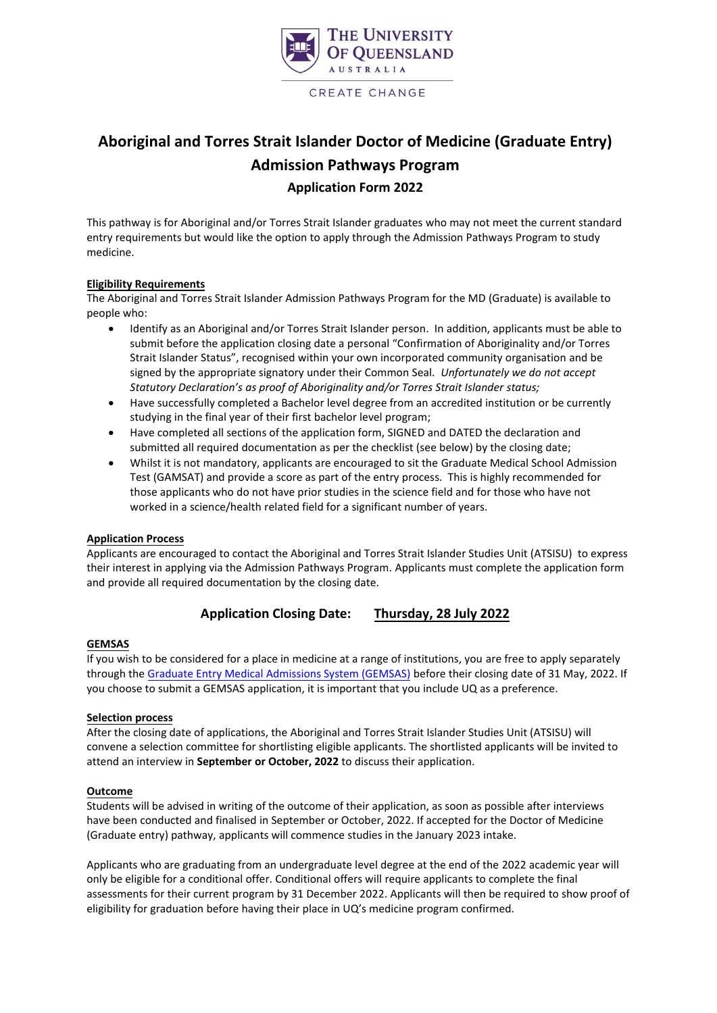

## **Aboriginal and Torres Strait Islander Doctor of Medicine (Graduate Entry) Admission Pathways Program Application Form 2022**

This pathway is for Aboriginal and/or Torres Strait Islander graduates who may not meet the current standard entry requirements but would like the option to apply through the Admission Pathways Program to study medicine.

#### **Eligibility Requirements**

The Aboriginal and Torres Strait Islander Admission Pathways Program for the MD (Graduate) is available to people who:

- Identify as an Aboriginal and/or Torres Strait Islander person. In addition, applicants must be able to submit before the application closing date a personal "Confirmation of Aboriginality and/or Torres Strait Islander Status", recognised within your own incorporated community organisation and be signed by the appropriate signatory under their Common Seal. *Unfortunately we do not accept Statutory Declaration's as proof of Aboriginality and/or Torres Strait Islander status;*
- Have successfully completed a Bachelor level degree from an accredited institution or be currently studying in the final year of their first bachelor level program;
- Have completed all sections of the application form, SIGNED and DATED the declaration and submitted all required documentation as per the checklist (see below) by the closing date;
- Whilst it is not mandatory, applicants are encouraged to sit the Graduate Medical School Admission Test (GAMSAT) and provide a score as part of the entry process. This is highly recommended for those applicants who do not have prior studies in the science field and for those who have not worked in a science/health related field for a significant number of years.

#### **Application Process**

Applicants are encouraged to contact the Aboriginal and Torres Strait Islander Studies Unit (ATSISU) to express their interest in applying via the Admission Pathways Program. Applicants must complete the application form and provide all required documentation by the closing date.

### **Application Closing Date: Thursday, 28 July 2022**

#### **GEMSAS**

If you wish to be considered for a place in medicine at a range of institutions, you are free to apply separately through the [Graduate Entry Medical Admissions System \(GEMSAS\)](http://www.gemsas.edu.au/) before their closing date of 31 May, 2022. If you choose to submit a GEMSAS application, it is important that you include UQ as a preference.

#### **Selection process**

After the closing date of applications, the Aboriginal and Torres Strait Islander Studies Unit (ATSISU) will convene a selection committee for shortlisting eligible applicants. The shortlisted applicants will be invited to attend an interview in **September or October, 2022** to discuss their application.

#### **Outcome**

Students will be advised in writing of the outcome of their application, as soon as possible after interviews have been conducted and finalised in September or October, 2022. If accepted for the Doctor of Medicine (Graduate entry) pathway, applicants will commence studies in the January 2023 intake.

Applicants who are graduating from an undergraduate level degree at the end of the 2022 academic year will only be eligible for a conditional offer. Conditional offers will require applicants to complete the final assessments for their current program by 31 December 2022. Applicants will then be required to show proof of eligibility for graduation before having their place in UQ's medicine program confirmed.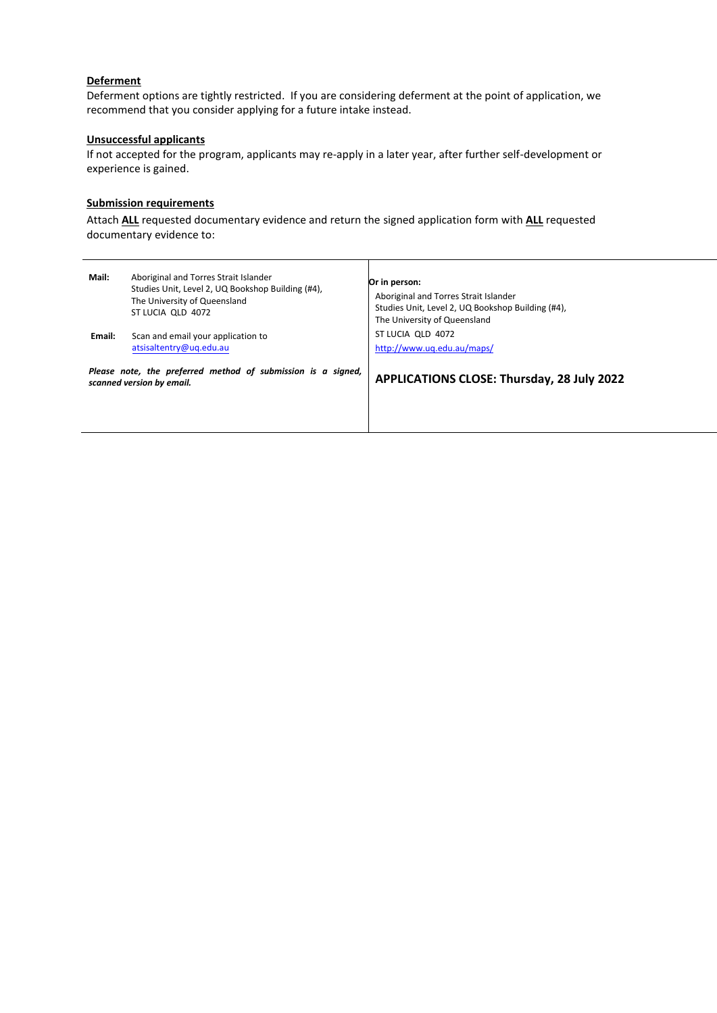#### **Deferment**

Deferment options are tightly restricted. If you are considering deferment at the point of application, we recommend that you consider applying for a future intake instead.

#### **Unsuccessful applicants**

If not accepted for the program, applicants may re-apply in a later year, after further self-development or experience is gained.

#### **Submission requirements**

Attach **ALL** requested documentary evidence and return the signed application form with **ALL** requested documentary evidence to:

| Mail:<br>Email:                                                                           | Aboriginal and Torres Strait Islander<br>Studies Unit, Level 2, UQ Bookshop Building (#4),<br>The University of Queensland<br>ST LUCIA OLD 4072<br>Scan and email your application to<br>atsisaltentry@uq.edu.au | Or in person:<br>Aboriginal and Torres Strait Islander<br>Studies Unit, Level 2, UQ Bookshop Building (#4),<br>The University of Queensland<br>ST LUCIA OLD 4072<br>http://www.ug.edu.au/maps/ |
|-------------------------------------------------------------------------------------------|------------------------------------------------------------------------------------------------------------------------------------------------------------------------------------------------------------------|------------------------------------------------------------------------------------------------------------------------------------------------------------------------------------------------|
| Please note, the preferred method of submission is a signed,<br>scanned version by email. |                                                                                                                                                                                                                  | <b>APPLICATIONS CLOSE: Thursday, 28 July 2022</b>                                                                                                                                              |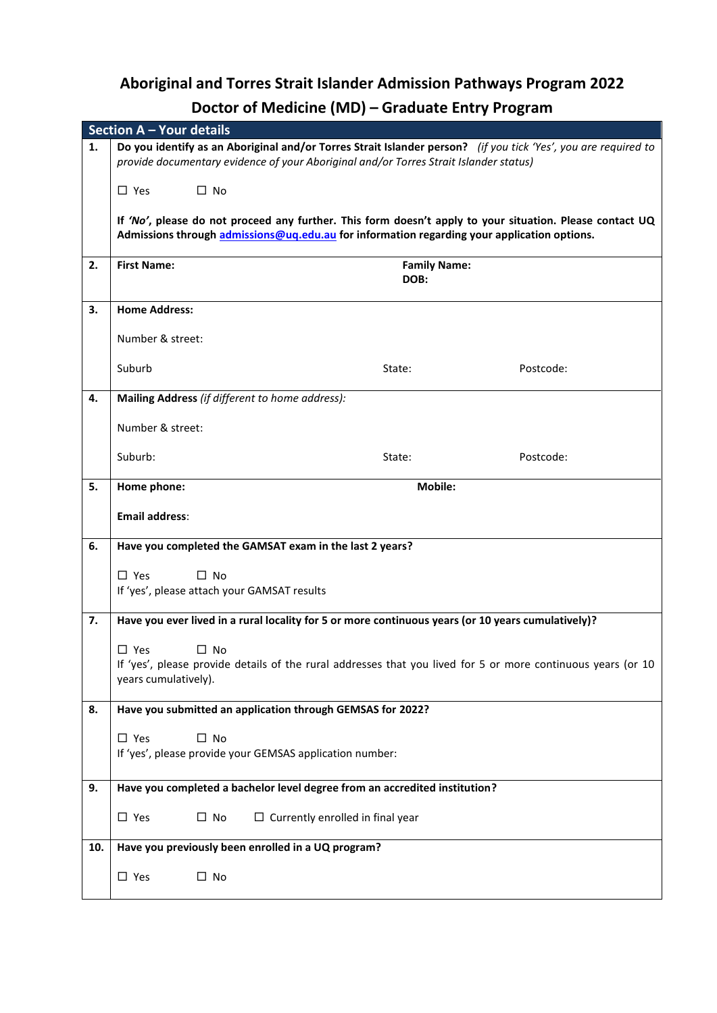# **Aboriginal and Torres Strait Islander Admission Pathways Program 2022 Doctor of Medicine (MD) – Graduate Entry Program**

|     | <b>Section A - Your details</b>                                                                              |                                                                                                                |           |  |  |  |  |  |
|-----|--------------------------------------------------------------------------------------------------------------|----------------------------------------------------------------------------------------------------------------|-----------|--|--|--|--|--|
| 1.  |                                                                                                              | Do you identify as an Aboriginal and/or Torres Strait Islander person? (if you tick 'Yes', you are required to |           |  |  |  |  |  |
|     |                                                                                                              | provide documentary evidence of your Aboriginal and/or Torres Strait Islander status)                          |           |  |  |  |  |  |
|     | $\Box$ No<br>$\Box$ Yes                                                                                      |                                                                                                                |           |  |  |  |  |  |
|     |                                                                                                              | If 'No', please do not proceed any further. This form doesn't apply to your situation. Please contact UQ       |           |  |  |  |  |  |
|     |                                                                                                              | Admissions through admissions@uq.edu.au for information regarding your application options.                    |           |  |  |  |  |  |
|     |                                                                                                              |                                                                                                                |           |  |  |  |  |  |
| 2.  | <b>First Name:</b>                                                                                           | <b>Family Name:</b>                                                                                            |           |  |  |  |  |  |
|     |                                                                                                              | DOB:                                                                                                           |           |  |  |  |  |  |
| З.  | <b>Home Address:</b>                                                                                         |                                                                                                                |           |  |  |  |  |  |
|     | Number & street:                                                                                             |                                                                                                                |           |  |  |  |  |  |
|     | Suburb                                                                                                       | State:                                                                                                         | Postcode: |  |  |  |  |  |
| 4.  | Mailing Address (if different to home address):                                                              |                                                                                                                |           |  |  |  |  |  |
|     | Number & street:                                                                                             |                                                                                                                |           |  |  |  |  |  |
|     | Suburb:                                                                                                      | State:                                                                                                         | Postcode: |  |  |  |  |  |
| 5.  | Home phone:                                                                                                  | <b>Mobile:</b>                                                                                                 |           |  |  |  |  |  |
|     | <b>Email address:</b>                                                                                        |                                                                                                                |           |  |  |  |  |  |
| 6.  | Have you completed the GAMSAT exam in the last 2 years?                                                      |                                                                                                                |           |  |  |  |  |  |
|     |                                                                                                              |                                                                                                                |           |  |  |  |  |  |
|     | $\Box$ Yes<br>$\Box$ No<br>If 'yes', please attach your GAMSAT results                                       |                                                                                                                |           |  |  |  |  |  |
|     |                                                                                                              |                                                                                                                |           |  |  |  |  |  |
| 7.  | Have you ever lived in a rural locality for 5 or more continuous years (or 10 years cumulatively)?           |                                                                                                                |           |  |  |  |  |  |
|     | $\Box$ No<br>$\square$ Yes                                                                                   |                                                                                                                |           |  |  |  |  |  |
|     | If 'yes', please provide details of the rural addresses that you lived for 5 or more continuous years (or 10 |                                                                                                                |           |  |  |  |  |  |
|     | years cumulatively).                                                                                         |                                                                                                                |           |  |  |  |  |  |
| 8.  | Have you submitted an application through GEMSAS for 2022?                                                   |                                                                                                                |           |  |  |  |  |  |
|     | $\square$ No<br>$\square$ Yes                                                                                |                                                                                                                |           |  |  |  |  |  |
|     | If 'yes', please provide your GEMSAS application number:                                                     |                                                                                                                |           |  |  |  |  |  |
| 9.  | Have you completed a bachelor level degree from an accredited institution?                                   |                                                                                                                |           |  |  |  |  |  |
|     | $\square$ Yes<br>$\Box$ No                                                                                   | $\Box$ Currently enrolled in final year                                                                        |           |  |  |  |  |  |
| 10. | Have you previously been enrolled in a UQ program?                                                           |                                                                                                                |           |  |  |  |  |  |
|     | $\square$ No<br>$\square$ Yes                                                                                |                                                                                                                |           |  |  |  |  |  |